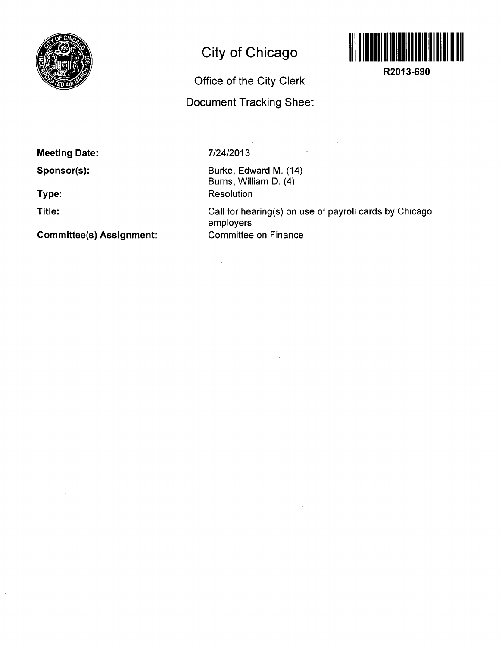

# **City of Chicago**



**R2013-690** 

**Office of the City Clerk** 

**Document Tracking Sheet** 

 $\mathcal{L}$ 

 $\bar{z}$ 

## **Meeting Date:**

**Sponsor(s):** 

**Type:** 

**Title:** 

 $\sim 10^7$ 

 $\sim 10^7$ 

 $\mathcal{A}$ 

 $\bar{\beta}$ 

## **Comniittee(s) Assignment:**

#### **7/24/2013**

 $\bar{\omega}$ 

Burke, Edward M. (14) Burns, William D. (4) **Resolution** 

Call for hearing(s) on use of payroll cards by Chicago employers Committee on Finance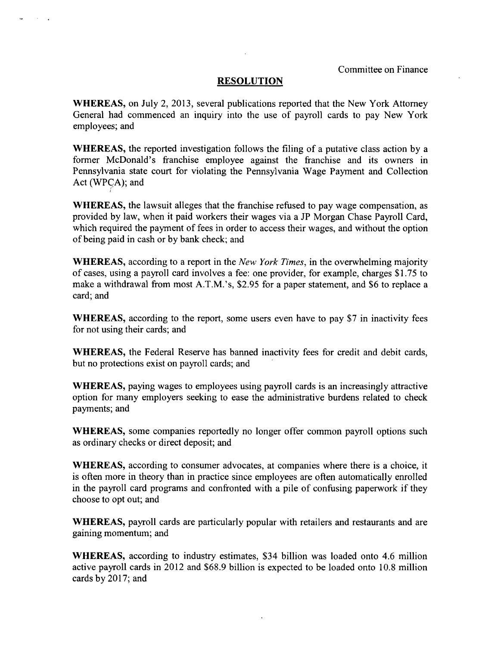#### **RESOLUTION**

WHEREAS, on July 2, 2013, several publications reported that the New York Attomey General had commenced an inquiry into the use of payroll cards to pay New York employees; and

WHEREAS, the reported investigation follows the filing of a putative class action by a former McDonald's franchise employee against the franchise and its owners in Pennsylvania state court for violating the Pennsylvania Wage Payment and Collection Act (WPCA); and

WHEREAS, the lawsuit alleges that the franchise refused to pay wage compensation, as provided by law, when it paid workers their wages via a JP Morgan Chase Payroll Card, which required the payment of fees in order to access their wages, and without the option of being paid in cash or by bank check; and

WHEREAS, according to a report in the New York Times, in the overwhelming majority of cases, using a payroll card involves a fee: one provider, for example, charges \$1.75 to make a withdrawal from most A.T.M.'s, \$2.95 for a paper statement, and \$6 to replace a card; and

WHEREAS, according to the report, some users even have to pay \$7 in inactivity fees for not using their cards; and

WHEREAS, the Federal Reserve has banned inactivity fees for credit and debit cards, but no protections exist on payroll cards; and

WHEREAS, paying wages to employees using payroll cards is an increasingly attractive option for many employers seeking to ease the administrative burdens related to check payments; and

WHEREAS, some companies reportedly no longer offer common payroll options such as ordinary checks or direct deposit; and

WHEREAS, according to consumer advocates, at companies where there is a choice, it is often more in theory than in practice since employees are often automatically enrolled in the payroll card programs and confronted with a pile of confusing paperwork if they choose to opt out; and

WHEREAS, payroll cards are particularly popular with retailers and restaurants and are gaining momentum; and

WHEREAS, according to industry estimates, \$34 billion was loaded onto 4.6 million active payroll cards in 2012 and \$68.9 billion is expected to be loaded onto 10.8 million cards by 2017; and